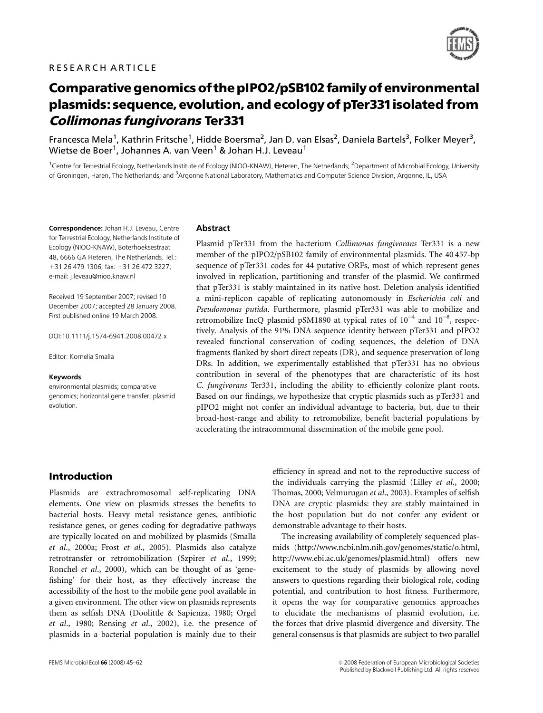

# Comparative genomics ofthe pIPO2/pSB102 familyof environmental plasmids: sequence, evolution, and ecology of pTer331isolated from Collimonas fungivorans Ter331

Francesca Mela<sup>1</sup>, Kathrin Fritsche<sup>1</sup>, Hidde Boersma<sup>2</sup>, Jan D. van Elsas<sup>2</sup>, Daniela Bartels<sup>3</sup>, Folker Meyer<sup>3</sup>, Wietse de Boer $^1$ , Johannes A. van Veen $^1$  & Johan H.J. Leveau $^1$ 

<sup>1</sup>Centre for Terrestrial Ecology, Netherlands Institute of Ecology (NIOO-KNAW), Heteren, The Netherlands; <sup>2</sup>Department of Microbial Ecology, University of Groningen, Haren, The Netherlands; and <sup>3</sup>Argonne National Laboratory, Mathematics and Computer Science Division, Argonne, IL, USA

Correspondence: Johan H.J. Leveau, Centre for Terrestrial Ecology, Netherlands Institute of Ecology (NIOO-KNAW), Boterhoeksestraat 48, 6666 GA Heteren, The Netherlands. Tel.: +31 26 479 1306; fax: +31 26 472 3227; e-mail: j.leveau@nioo.knaw.nl

Received 19 September 2007; revised 10 December 2007; accepted 28 January 2008. First published online 19 March 2008.

DOI:10.1111/j.1574-6941.2008.00472.x

Editor: Kornelia Smalla

#### Keywords

environmental plasmids; comparative genomics; horizontal gene transfer; plasmid evolution.

#### Abstract

Plasmid pTer331 from the bacterium Collimonas fungivorans Ter331 is a new member of the pIPO2/pSB102 family of environmental plasmids. The 40 457-bp sequence of pTer331 codes for 44 putative ORFs, most of which represent genes involved in replication, partitioning and transfer of the plasmid. We confirmed that pTer331 is stably maintained in its native host. Deletion analysis identified a mini-replicon capable of replicating autonomously in Escherichia coli and Pseudomonas putida. Furthermore, plasmid pTer331 was able to mobilize and retromobilize IncQ plasmid pSM1890 at typical rates of  $10^{-4}$  and  $10^{-8}$ , respectively. Analysis of the 91% DNA sequence identity between pTer331 and pIPO2 revealed functional conservation of coding sequences, the deletion of DNA fragments flanked by short direct repeats (DR), and sequence preservation of long DRs. In addition, we experimentally established that pTer331 has no obvious contribution in several of the phenotypes that are characteristic of its host C. fungivorans Ter331, including the ability to efficiently colonize plant roots. Based on our findings, we hypothesize that cryptic plasmids such as pTer331 and pIPO2 might not confer an individual advantage to bacteria, but, due to their broad-host-range and ability to retromobilize, benefit bacterial populations by accelerating the intracommunal dissemination of the mobile gene pool.

## Introduction

Plasmids are extrachromosomal self-replicating DNA elements. One view on plasmids stresses the benefits to bacterial hosts. Heavy metal resistance genes, antibiotic resistance genes, or genes coding for degradative pathways are typically located on and mobilized by plasmids (Smalla et al., 2000a; Frost et al., 2005). Plasmids also catalyze retrotransfer or retromobilization (Szpirer et al., 1999; Ronchel et al., 2000), which can be thought of as 'genefishing' for their host, as they effectively increase the accessibility of the host to the mobile gene pool available in a given environment. The other view on plasmids represents them as selfish DNA (Doolittle & Sapienza, 1980; Orgel et al., 1980; Rensing et al., 2002), i.e. the presence of plasmids in a bacterial population is mainly due to their

efficiency in spread and not to the reproductive success of the individuals carrying the plasmid (Lilley et al., 2000; Thomas, 2000; Velmurugan et al., 2003). Examples of selfish DNA are cryptic plasmids: they are stably maintained in the host population but do not confer any evident or demonstrable advantage to their hosts.

The increasing availability of completely sequenced plasmids (http://www.ncbi.nlm.nih.gov/genomes/static/o.html, http://www.ebi.ac.uk/genomes/plasmid.html) offers new excitement to the study of plasmids by allowing novel answers to questions regarding their biological role, coding potential, and contribution to host fitness. Furthermore, it opens the way for comparative genomics approaches to elucidate the mechanisms of plasmid evolution, i.e. the forces that drive plasmid divergence and diversity. The general consensus is that plasmids are subject to two parallel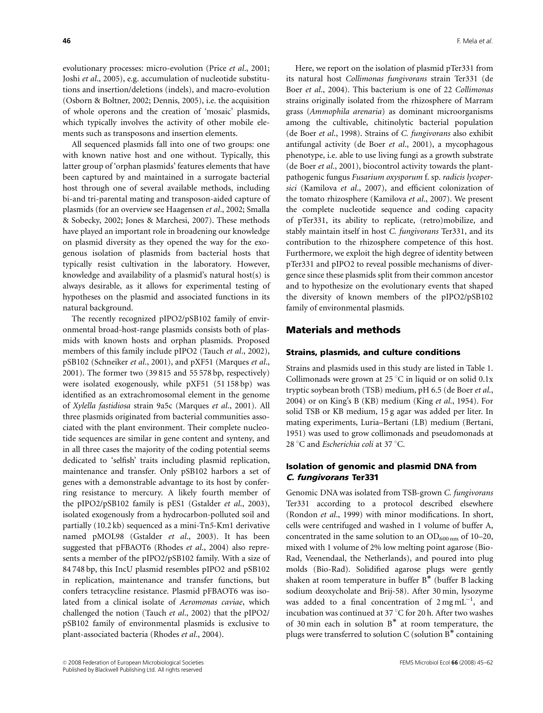evolutionary processes: micro-evolution (Price et al., 2001; Joshi et al., 2005), e.g. accumulation of nucleotide substitutions and insertion/deletions (indels), and macro-evolution (Osborn & Boltner, 2002; Dennis, 2005), i.e. the acquisition of whole operons and the creation of 'mosaic' plasmids, which typically involves the activity of other mobile elements such as transposons and insertion elements.

All sequenced plasmids fall into one of two groups: one with known native host and one without. Typically, this latter group of 'orphan plasmids' features elements that have been captured by and maintained in a surrogate bacterial host through one of several available methods, including bi-and tri-parental mating and transposon-aided capture of plasmids (for an overview see Haagensen et al., 2002; Smalla & Sobecky, 2002; Jones & Marchesi, 2007). These methods have played an important role in broadening our knowledge on plasmid diversity as they opened the way for the exogenous isolation of plasmids from bacterial hosts that typically resist cultivation in the laboratory. However, knowledge and availability of a plasmid's natural host(s) is always desirable, as it allows for experimental testing of hypotheses on the plasmid and associated functions in its natural background.

The recently recognized pIPO2/pSB102 family of environmental broad-host-range plasmids consists both of plasmids with known hosts and orphan plasmids. Proposed members of this family include pIPO2 (Tauch et al., 2002), pSB102 (Schneiker et al., 2001), and pXF51 (Marques et al., 2001). The former two (39 815 and 55 578 bp, respectively) were isolated exogenously, while pXF51 (51 158 bp) was identified as an extrachromosomal element in the genome of Xylella fastidiosa strain 9a5c (Marques et al., 2001). All three plasmids originated from bacterial communities associated with the plant environment. Their complete nucleotide sequences are similar in gene content and synteny, and in all three cases the majority of the coding potential seems dedicated to 'selfish' traits including plasmid replication, maintenance and transfer. Only pSB102 harbors a set of genes with a demonstrable advantage to its host by conferring resistance to mercury. A likely fourth member of the pIPO2/pSB102 family is pES1 (Gstalder et al., 2003), isolated exogenously from a hydrocarbon-polluted soil and partially (10.2 kb) sequenced as a mini-Tn5-Km1 derivative named pMOL98 (Gstalder et al., 2003). It has been suggested that pFBAOT6 (Rhodes et al., 2004) also represents a member of the pIPO2/pSB102 family. With a size of 84 748 bp, this IncU plasmid resembles pIPO2 and pSB102 in replication, maintenance and transfer functions, but confers tetracycline resistance. Plasmid pFBAOT6 was isolated from a clinical isolate of Aeromonas caviae, which challenged the notion (Tauch et al., 2002) that the pIPO2/ pSB102 family of environmental plasmids is exclusive to plant-associated bacteria (Rhodes et al., 2004).

Here, we report on the isolation of plasmid pTer331 from its natural host Collimonas fungivorans strain Ter331 (de Boer et al., 2004). This bacterium is one of 22 Collimonas strains originally isolated from the rhizosphere of Marram grass (Ammophila arenaria) as dominant microorganisms among the cultivable, chitinolytic bacterial population (de Boer et al., 1998). Strains of C. fungivorans also exhibit antifungal activity (de Boer et al., 2001), a mycophagous phenotype, i.e. able to use living fungi as a growth substrate (de Boer et al., 2001), biocontrol activity towards the plantpathogenic fungus Fusarium oxysporum f. sp. radicis lycopersici (Kamilova et al., 2007), and efficient colonization of the tomato rhizosphere (Kamilova et al., 2007). We present the complete nucleotide sequence and coding capacity of pTer331, its ability to replicate, (retro)mobilize, and stably maintain itself in host C. fungivorans Ter331, and its contribution to the rhizosphere competence of this host. Furthermore, we exploit the high degree of identity between pTer331 and pIPO2 to reveal possible mechanisms of divergence since these plasmids split from their common ancestor and to hypothesize on the evolutionary events that shaped the diversity of known members of the pIPO2/pSB102 family of environmental plasmids.

## Materials and methods

## Strains, plasmids, and culture conditions

Strains and plasmids used in this study are listed in Table 1. Collimonads were grown at  $25^{\circ}$ C in liquid or on solid 0.1x tryptic soybean broth (TSB) medium, pH 6.5 (de Boer et al., 2004) or on King's B (KB) medium (King et al., 1954). For solid TSB or KB medium, 15 g agar was added per liter. In mating experiments, Luria–Bertani (LB) medium (Bertani, 1951) was used to grow collimonads and pseudomonads at 28 °C and *Escherichia coli* at 37 °C.

## Isolation of genomic and plasmid DNA from C. fungivorans Ter331

Genomic DNA was isolated from TSB-grown C. fungivorans Ter331 according to a protocol described elsewhere (Rondon et al., 1999) with minor modifications. In short, cells were centrifuged and washed in 1 volume of buffer A, concentrated in the same solution to an  $OD_{600 \text{ nm}}$  of 10–20, mixed with 1 volume of 2% low melting point agarose (Bio-Rad, Veenendaal, the Netherlands), and poured into plug molds (Bio-Rad). Solidified agarose plugs were gently shaken at room temperature in buffer B (buffer B lacking sodium deoxycholate and Brij-58). After 30 min, lysozyme was added to a final concentration of  $2 \text{ mg} \text{ mL}^{-1}$ , and incubation was continued at 37  $\mathrm{^{\circ}C}$  for 20 h. After two washes of 30 min each in solution  $B^*$  at room temperature, the plugs were transferred to solution  $C$  (solution  $B^*$  containing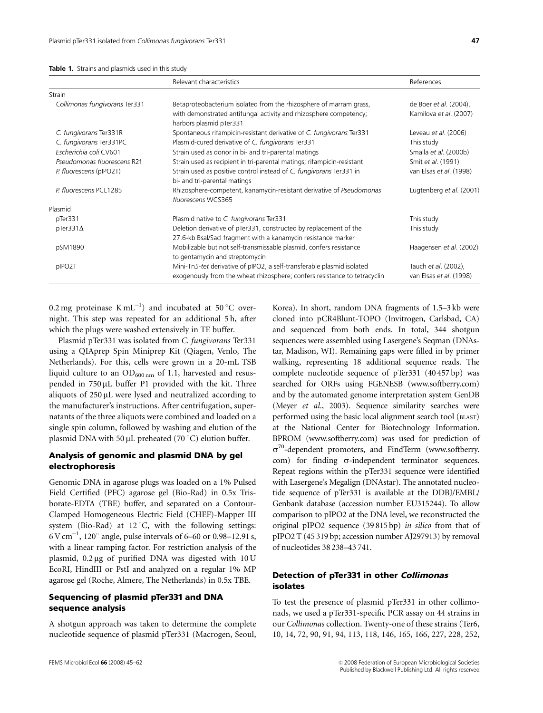| Table 1. Strains and plasmids used in this study |
|--------------------------------------------------|
|--------------------------------------------------|

|                               | Relevant characteristics                                                                            | References               |
|-------------------------------|-----------------------------------------------------------------------------------------------------|--------------------------|
| Strain                        |                                                                                                     |                          |
| Collimonas fungivorans Ter331 | Betaproteobacterium isolated from the rhizosphere of marram grass,                                  | de Boer et al. (2004),   |
|                               | with demonstrated antifungal activity and rhizosphere competency;<br>harbors plasmid pTer331        | Kamilova et al. (2007)   |
| C. fungivorans Ter331R        | Spontaneous rifampicin-resistant derivative of C. fungivorans Ter331                                | Leveau et al. (2006)     |
| C. fungivorans Ter331PC       | Plasmid-cured derivative of C. fungivorans Ter331                                                   | This study               |
| Escherichia coli CV601        | Strain used as donor in bi- and tri-parental matings                                                | Smalla et al. (2000b)    |
| Pseudomonas fluorescens R2f   | Strain used as recipient in tri-parental matings; rifampicin-resistant                              | Smit et al. (1991)       |
| P. fluorescens (pIPO2T)       | Strain used as positive control instead of C. fungivorans Ter331 in<br>bi- and tri-parental matings | van Elsas et al. (1998)  |
| P. fluorescens PCL1285        | Rhizosphere-competent, kanamycin-resistant derivative of Pseudomonas<br>fluorescens WCS365          | Lugtenberg et al. (2001) |
| Plasmid                       |                                                                                                     |                          |
| pTer331                       | Plasmid native to C. fungivorans Ter331                                                             | This study               |
| $p$ Ter331 $\Delta$           | Deletion derivative of pTer331, constructed by replacement of the                                   | This study               |
|                               | 27.6-kb Bsal/SacI fragment with a kanamycin resistance marker                                       |                          |
| pSM1890                       | Mobilizable but not self-transmissable plasmid, confers resistance                                  | Haagensen et al. (2002)  |
|                               | to gentamycin and streptomycin                                                                      |                          |
| pIPO2T                        | Mini-Tn5-tet derivative of pIPO2, a self-transferable plasmid isolated                              | Tauch et al. (2002),     |
|                               | exogenously from the wheat rhizosphere; confers resistance to tetracyclin                           | van Elsas et al. (1998)  |

0.2 mg proteinase  $KmL^{-1}$ ) and incubated at 50 °C overnight. This step was repeated for an additional 5 h, after which the plugs were washed extensively in TE buffer.

Plasmid pTer331 was isolated from C. fungivorans Ter331 using a QIAprep Spin Miniprep Kit (Qiagen, Venlo, The Netherlands). For this, cells were grown in a 20-mL TSB liquid culture to an  $OD_{600 \text{ nm}}$  of 1.1, harvested and resuspended in  $750 \mu L$  buffer P1 provided with the kit. Three aliquots of 250 µL were lysed and neutralized according to the manufacturer's instructions. After centrifugation, supernatants of the three aliquots were combined and loaded on a single spin column, followed by washing and elution of the plasmid DNA with 50  $\mu$ L preheated (70 °C) elution buffer.

## Analysis of genomic and plasmid DNA by gel electrophoresis

Genomic DNA in agarose plugs was loaded on a 1% Pulsed Field Certified (PFC) agarose gel (Bio-Rad) in 0.5x Trisborate-EDTA (TBE) buffer, and separated on a Contour-Clamped Homogeneous Electric Field (CHEF)-Mapper III system (Bio-Rad) at  $12^{\circ}$ C, with the following settings:  $6$  V cm<sup>-1</sup>, 120 $^{\circ}$  angle, pulse intervals of 6–60 or 0.98–12.91 s, with a linear ramping factor. For restriction analysis of the plasmid,  $0.2 \mu$ g of purified DNA was digested with  $10 U$ EcoRI, HindIII or PstI and analyzed on a regular 1% MP agarose gel (Roche, Almere, The Netherlands) in 0.5x TBE.

## Sequencing of plasmid pTer331 and DNA sequence analysis

A shotgun approach was taken to determine the complete nucleotide sequence of plasmid pTer331 (Macrogen, Seoul,

Korea). In short, random DNA fragments of 1.5–3 kb were cloned into pCR4Blunt-TOPO (Invitrogen, Carlsbad, CA) and sequenced from both ends. In total, 344 shotgun sequences were assembled using Lasergene's Seqman (DNAstar, Madison, WI). Remaining gaps were filled in by primer walking, representing 18 additional sequence reads. The complete nucleotide sequence of pTer331 (40 457 bp) was searched for ORFs using FGENESB (www.softberry.com) and by the automated genome interpretation system GenDB (Meyer et al., 2003). Sequence similarity searches were performed using the basic local alignment search tool (BLAST) at the National Center for Biotechnology Information. BPROM (www.softberry.com) was used for prediction of  $\sigma^{70}$ -dependent promoters, and FindTerm (www.softberry. com) for finding  $\sigma$ -independent terminator sequences. Repeat regions within the pTer331 sequence were identified with Lasergene's Megalign (DNAstar). The annotated nucleotide sequence of pTer331 is available at the DDBJ/EMBL/ Genbank database (accession number EU315244). To allow comparison to pIPO2 at the DNA level, we reconstructed the original pIPO2 sequence (39 815 bp) in silico from that of pIPO2 T (45 319 bp; accession number AJ297913) by removal of nucleotides 38 238–43 741.

# Detection of pTer331 in other Collimonas isolates

To test the presence of plasmid pTer331 in other collimonads, we used a pTer331-specific PCR assay on 44 strains in our Collimonas collection. Twenty-one of these strains (Ter6, 10, 14, 72, 90, 91, 94, 113, 118, 146, 165, 166, 227, 228, 252,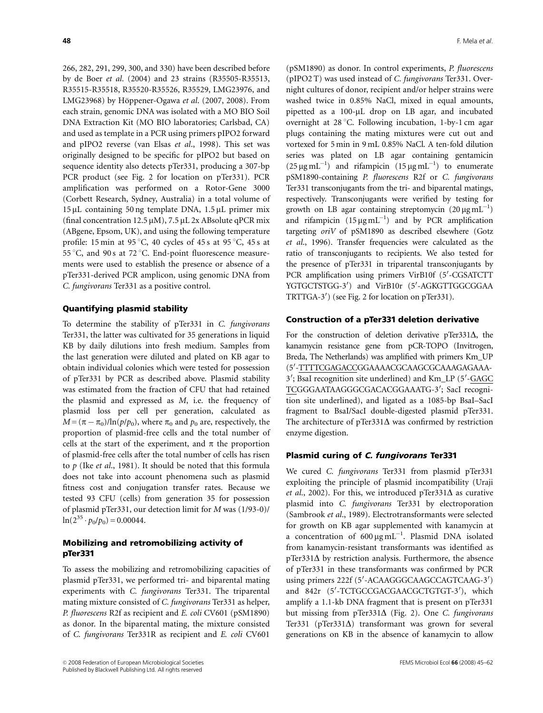266, 282, 291, 299, 300, and 330) have been described before by de Boer et al. (2004) and 23 strains (R35505-R35513, R35515-R35518, R35520-R35526, R35529, LMG23976, and LMG23968) by Höppener-Ogawa et al.  $(2007, 2008)$ . From each strain, genomic DNA was isolated with a MO BIO Soil DNA Extraction Kit (MO BIO laboratories; Carlsbad, CA) and used as template in a PCR using primers pIPO2 forward and pIPO2 reverse (van Elsas et al., 1998). This set was originally designed to be specific for pIPO2 but based on sequence identity also detects pTer331, producing a 307-bp PCR product (see Fig. 2 for location on pTer331). PCR amplification was performed on a Rotor-Gene 3000 (Corbett Research, Sydney, Australia) in a total volume of  $15 \mu$ L containing 50 ng template DNA,  $1.5 \mu$ L primer mix (final concentration  $12.5 \mu M$ ),  $7.5 \mu L$  2x ABsolute qPCR mix (ABgene, Epsom, UK), and using the following temperature profile: 15 min at 95 °C, 40 cycles of 45 s at 95 °C, 45 s at 55 °C, and 90 s at 72 °C. End-point fluorescence measurements were used to establish the presence or absence of a pTer331-derived PCR amplicon, using genomic DNA from C. fungivorans Ter331 as a positive control.

#### Quantifying plasmid stability

To determine the stability of pTer331 in C. fungivorans Ter331, the latter was cultivated for 35 generations in liquid KB by daily dilutions into fresh medium. Samples from the last generation were diluted and plated on KB agar to obtain individual colonies which were tested for possession of pTer331 by PCR as described above. Plasmid stability was estimated from the fraction of CFU that had retained the plasmid and expressed as M, i.e. the frequency of plasmid loss per cell per generation, calculated as  $M = (\pi - \pi_0)/\ln(p/p_0)$ , where  $\pi_0$  and  $p_0$  are, respectively, the proportion of plasmid-free cells and the total number of cells at the start of the experiment, and  $\pi$  the proportion of plasmid-free cells after the total number of cells has risen to  $p$  (Ike et al., 1981). It should be noted that this formula does not take into account phenomena such as plasmid fitness cost and conjugation transfer rates. Because we tested 93 CFU (cells) from generation 35 for possession of plasmid pTer331, our detection limit for M was (1/93-0)/  $ln(2^{35} \cdot p_0/p_0) = 0.00044.$ 

## Mobilizing and retromobilizing activity of pTer331

To assess the mobilizing and retromobilizing capacities of plasmid pTer331, we performed tri- and biparental mating experiments with C. fungivorans Ter331. The triparental mating mixture consisted of C. fungivorans Ter331 as helper, P. fluorescens R2f as recipient and E. coli CV601 (pSM1890) as donor. In the biparental mating, the mixture consisted of C. fungivorans Ter331R as recipient and E. coli CV601

(pSM1890) as donor. In control experiments, P. fluorescens (pIPO2 T) was used instead of C. fungivorans Ter331. Overnight cultures of donor, recipient and/or helper strains were washed twice in 0.85% NaCl, mixed in equal amounts, pipetted as a 100-uL drop on LB agar, and incubated overnight at  $28^{\circ}$ C. Following incubation, 1-by-1 cm agar plugs containing the mating mixtures were cut out and vortexed for 5 min in 9 mL 0.85% NaCl. A ten-fold dilution series was plated on LB agar containing gentamicin  $(25 \,\mu\text{g}\,\text{mL}^{-1})$  and rifampicin  $(15 \,\mu\text{g}\,\text{mL}^{-1})$  to enumerate pSM1890-containing P. fluorescens R2f or C. fungivorans Ter331 transconjugants from the tri- and biparental matings, respectively. Transconjugants were verified by testing for growth on LB agar containing streptomycin  $(20 \,\mu\text{g}\,\text{mL}^{-1})$ and rifampicin  $(15 \mu g \text{ mL}^{-1})$  and by PCR amplification targeting oriV of pSM1890 as described elsewhere (Gotz et al., 1996). Transfer frequencies were calculated as the ratio of transconjugants to recipients. We also tested for the presence of pTer331 in triparental transconjugants by PCR amplification using primers VirB10f (5'-CGSATCTT YGTGCTSTGG-3') and VirB10r (5'-AGKGTTGGCGGAA TRTTGA-3') (see Fig. 2 for location on pTer331).

## Construction of a pTer331 deletion derivative

For the construction of deletion derivative pTer331 $\Delta$ , the kanamycin resistance gene from pCR-TOPO (Invitrogen, Breda, The Netherlands) was amplified with primers Km\_UP (5'-TTTTCGAGACCGGAAAACGCAAGCGCAAAGAGAAA-3'; BsaI recognition site underlined) and Km\_LP (5'-GAGC TCGGGAATAAGGGCGACACGGAAATG-3'; SacI recognition site underlined), and ligated as a 1085-bp BsaI–SacI fragment to BsaI/SacI double-digested plasmid pTer331. The architecture of pTer331 $\Delta$  was confirmed by restriction enzyme digestion.

#### Plasmid curing of C. fungivorans Ter331

We cured C. fungivorans Ter331 from plasmid pTer331 exploiting the principle of plasmid incompatibility (Uraji et al., 2002). For this, we introduced pTer331 $\Delta$  as curative plasmid into C. fungivorans Ter331 by electroporation (Sambrook et al., 1989). Electrotransformants were selected for growth on KB agar supplemented with kanamycin at a concentration of  $600 \,\mathrm{\mu g\,mL}^{-1}$ . Plasmid DNA isolated from kanamycin-resistant transformants was identified as  $p$ Ter331 $\Delta$  by restriction analysis. Furthermore, the absence of pTer331 in these transformants was confirmed by PCR using primers 222f (5'-ACAAGGGCAAGCCAGTCAAG-3') and 842r (5'-TCTGCCGACGAACGCTGTGT-3'), which amplify a 1.1-kb DNA fragment that is present on pTer331 but missing from pTer331 $\Delta$  (Fig. 2). One C. fungivorans Ter331 (pTer331 $\Delta$ ) transformant was grown for several generations on KB in the absence of kanamycin to allow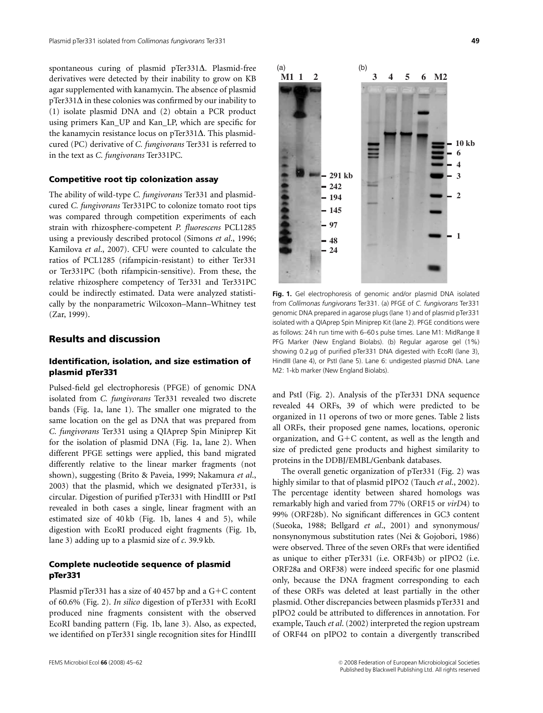spontaneous curing of plasmid pTer331 $\Delta$ . Plasmid-free derivatives were detected by their inability to grow on KB agar supplemented with kanamycin. The absence of plasmid  $p$ Ter331 $\Delta$  in these colonies was confirmed by our inability to (1) isolate plasmid DNA and (2) obtain a PCR product using primers Kan\_UP and Kan\_LP, which are specific for the kanamycin resistance locus on  $pTer331\Delta$ . This plasmidcured (PC) derivative of C. fungivorans Ter331 is referred to in the text as C. fungivorans Ter331PC.

#### Competitive root tip colonization assay

The ability of wild-type C. fungivorans Ter331 and plasmidcured C. fungivorans Ter331PC to colonize tomato root tips was compared through competition experiments of each strain with rhizosphere-competent P. fluorescens PCL1285 using a previously described protocol (Simons et al., 1996; Kamilova et al., 2007). CFU were counted to calculate the ratios of PCL1285 (rifampicin-resistant) to either Ter331 or Ter331PC (both rifampicin-sensitive). From these, the relative rhizosphere competency of Ter331 and Ter331PC could be indirectly estimated. Data were analyzed statistically by the nonparametric Wilcoxon–Mann–Whitney test (Zar, 1999).

# Results and discussion

## Identification, isolation, and size estimation of plasmid pTer331

Pulsed-field gel electrophoresis (PFGE) of genomic DNA isolated from C. fungivorans Ter331 revealed two discrete bands (Fig. 1a, lane 1). The smaller one migrated to the same location on the gel as DNA that was prepared from C. fungivorans Ter331 using a QIAprep Spin Miniprep Kit for the isolation of plasmid DNA (Fig. 1a, lane 2). When different PFGE settings were applied, this band migrated differently relative to the linear marker fragments (not shown), suggesting (Brito & Paveia, 1999; Nakamura et al., 2003) that the plasmid, which we designated pTer331, is circular. Digestion of purified pTer331 with HindIII or PstI revealed in both cases a single, linear fragment with an estimated size of 40 kb (Fig. 1b, lanes 4 and 5), while digestion with EcoRI produced eight fragments (Fig. 1b, lane 3) adding up to a plasmid size of c. 39.9 kb.

## Complete nucleotide sequence of plasmid pTer331

Plasmid pTer331 has a size of 40 457 bp and a  $G+C$  content of 60.6% (Fig. 2). In silico digestion of pTer331 with EcoRI produced nine fragments consistent with the observed EcoRI banding pattern (Fig. 1b, lane 3). Also, as expected, we identified on pTer331 single recognition sites for HindIII



Fig. 1. Gel electrophoresis of genomic and/or plasmid DNA isolated from Collimonas fungivorans Ter331. (a) PFGE of C. fungivorans Ter331 genomic DNA prepared in agarose plugs (lane 1) and of plasmid pTer331 isolated with a QIAprep Spin Miniprep Kit (lane 2). PFGE conditions were as follows: 24 h run time with 6–60 s pulse times. Lane M1: MidRange II PFG Marker (New England Biolabs). (b) Regular agarose gel (1%) showing 0.2 µg of purified pTer331 DNA digested with EcoRI (lane 3), HindIII (lane 4), or PstI (lane 5). Lane 6: undigested plasmid DNA. Lane M2: 1-kb marker (New England Biolabs).

and PstI (Fig. 2). Analysis of the pTer331 DNA sequence revealed 44 ORFs, 39 of which were predicted to be organized in 11 operons of two or more genes. Table 2 lists all ORFs, their proposed gene names, locations, operonic organization, and  $G+C$  content, as well as the length and size of predicted gene products and highest similarity to proteins in the DDBJ/EMBL/Genbank databases.

The overall genetic organization of pTer331 (Fig. 2) was highly similar to that of plasmid pIPO2 (Tauch *et al.*, 2002). The percentage identity between shared homologs was remarkably high and varied from 77% (ORF15 or virD4) to 99% (ORF28b). No significant differences in GC3 content (Sueoka, 1988; Bellgard et al., 2001) and synonymous/ nonsynonymous substitution rates (Nei & Gojobori, 1986) were observed. Three of the seven ORFs that were identified as unique to either pTer331 (i.e. ORF43b) or pIPO2 (i.e. ORF28a and ORF38) were indeed specific for one plasmid only, because the DNA fragment corresponding to each of these ORFs was deleted at least partially in the other plasmid. Other discrepancies between plasmids pTer331 and pIPO2 could be attributed to differences in annotation. For example, Tauch et al. (2002) interpreted the region upstream of ORF44 on pIPO2 to contain a divergently transcribed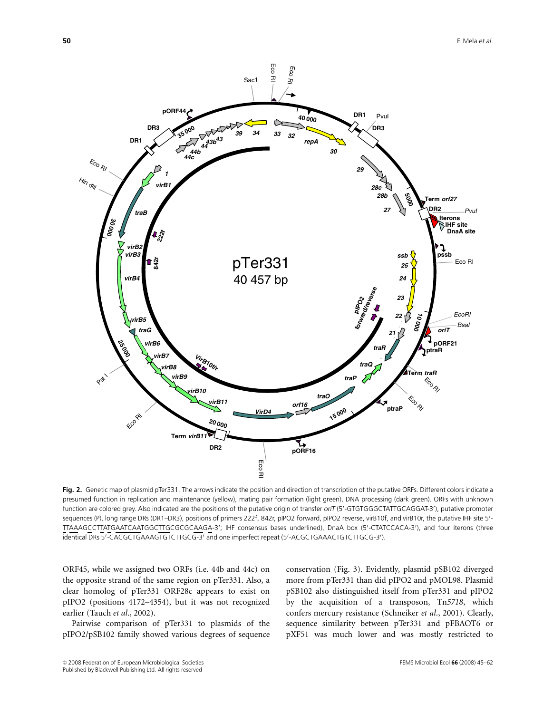

Fig. 2. Genetic map of plasmid pTer331. The arrows indicate the position and direction of transcription of the putative ORFs. Different colors indicate a presumed function in replication and maintenance (yellow), mating pair formation (light green), DNA processing (dark green). ORFs with unknown function are colored grey. Also indicated are the positions of the putative origin of transfer oriT (5'-GTGTGGGCTATTGCAGGAT-3'), putative promoter sequences (P), long range DRs (DR1–DR3), positions of primers 222f, 842r, pIPO2 forward, pIPO2 reverse, virB10f, and virB10r, the putative IHF site 5'-TTAAAGCCTTATGAATCAATGGCTTGCGCGCAAGA-3'; IHF consensus bases underlined), DnaA box (5'-CTATCCACA-3'), and four iterons (three identical DRs 5'-CACGCTGAAAGTGTCTTGCG-3' and one imperfect repeat (5'-ACGCTGAAACTGTCTTGCG-3').

ORF45, while we assigned two ORFs (i.e. 44b and 44c) on the opposite strand of the same region on pTer331. Also, a clear homolog of pTer331 ORF28c appears to exist on pIPO2 (positions 4172–4354), but it was not recognized earlier (Tauch et al., 2002).

Pairwise comparison of pTer331 to plasmids of the pIPO2/pSB102 family showed various degrees of sequence

conservation (Fig. 3). Evidently, plasmid pSB102 diverged more from pTer331 than did pIPO2 and pMOL98. Plasmid pSB102 also distinguished itself from pTer331 and pIPO2 by the acquisition of a transposon, Tn5718, which confers mercury resistance (Schneiker et al., 2001). Clearly, sequence similarity between pTer331 and pFBAOT6 or pXF51 was much lower and was mostly restricted to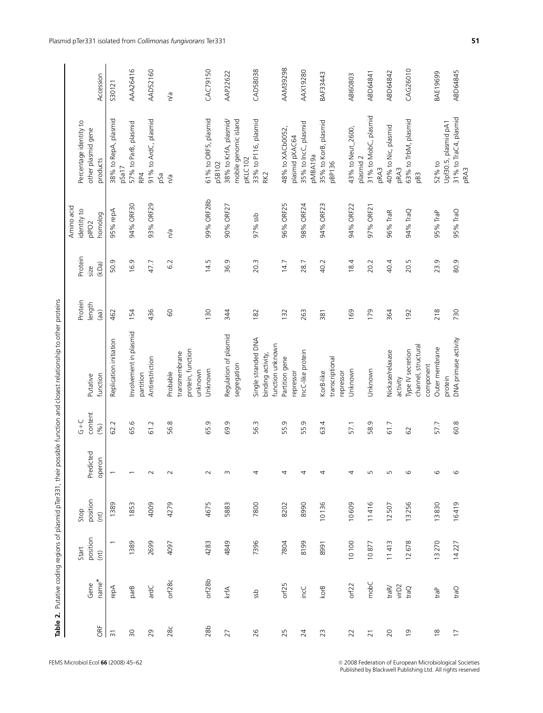|                 |                   |                          | Table 2. Putative coding regions of plasmid pTer331, their |                          |                    | possible function and closest relationship to other proteins |                   |                 |                                  |                                               |                 |
|-----------------|-------------------|--------------------------|------------------------------------------------------------|--------------------------|--------------------|--------------------------------------------------------------|-------------------|-----------------|----------------------------------|-----------------------------------------------|-----------------|
|                 |                   |                          |                                                            |                          |                    |                                                              |                   |                 | Amino acid                       |                                               |                 |
|                 | Gene              | position<br>Start        | position<br>Stop                                           | Predicted                | content<br>$G + C$ | Putative                                                     | Protein<br>length | Protein<br>size | identity to<br>pIPO <sub>2</sub> | Percentage identity to<br>other plasmid gene  |                 |
| ORF             | name <sup>*</sup> | (nt)                     | (int)                                                      | operon                   | (96)               | function                                                     | (a)               | (kDa)           | homolog                          | products                                      | Accession       |
| $\overline{3}$  | repA              | $\overline{\phantom{0}}$ | 1389                                                       | $\overline{ }$           | 62.2               | Replication initiation                                       | 462               | 50.9            | 95% repA                         | 38% to RepA, plasmid                          | S30121          |
| $\overline{50}$ | parB              | 1389                     | 1853                                                       | $\overline{\phantom{0}}$ | 65.6               | Involvement in plasmid                                       | 154               | 16.9            | 94% ORF30                        | 57% to ParB, plasmid<br>pSa17                 | AAA26416        |
|                 |                   |                          |                                                            |                          |                    | partition                                                    |                   |                 |                                  | RP4                                           |                 |
| 29              | ardC              | 2699                     | 4009                                                       | $\sim$                   | 61.2               | Antirestriction                                              | 436               | 47.7            | 93% ORF29                        | 91% to ArdC, plasmid<br>pSa                   | AAD52160        |
| 28c             | orf28c            | 4097                     | 4279                                                       | $\sim$                   | 56.8               | Probable                                                     | $\rm ^{\rm o}$    | 6.2             | n/a                              | n/a                                           | n/a             |
|                 |                   |                          |                                                            |                          |                    | protein, function<br>transmembrane<br>unknown                |                   |                 |                                  |                                               |                 |
| 28 <sub>b</sub> | orf28b            | 4283                     | 4675                                                       | $\sim$                   | 65.9               | Unknown                                                      | 130               | 14.5            | 99% ORF28b                       | 61% to ORF5, plasmid<br>pSB102                | CAC79150        |
| 27              | krfA              | 4849                     | 5883                                                       | $\sim$                   | 69.9               | Regulation of plasmid                                        | 344               | 36.9            | 90% ORF27                        | 38% to KrfA, plasmid/                         | AAP22622        |
|                 |                   |                          |                                                            |                          |                    | segregation                                                  |                   |                 |                                  | mobile genomic island<br>pKLC102              |                 |
| 26              | ssb               | 7396                     | 7800                                                       | 4                        | 56.3               | Single stranded DNA<br>binding activity,                     | 182               | 20.3            | 97% ssb                          | 33% to P116, plasmid<br>RK <sub>2</sub>       | CAD58038        |
|                 |                   |                          |                                                            |                          |                    | function unknown                                             |                   |                 |                                  |                                               |                 |
| 25              | orf25             | 7804                     | 8202                                                       | 4                        | 55.9               | Partition gene                                               | 132               | 14.7            | 96% ORF25                        | 48% to XACb0052,                              | <b>AAM39298</b> |
| 24              | incC              | 8199                     | 8990                                                       | 4                        | 55.9               | IncC-like protein<br>repressor                               | 263               | 28.7            | 98% ORF24                        | 35% to IncC, plasmid<br>plasmid pXAC64        | AAX19280        |
|                 |                   |                          |                                                            |                          |                    |                                                              |                   |                 |                                  | pMBA19a                                       |                 |
| 23              | korB              | 8991                     | 10136                                                      | 4                        | 63.4               | transcriptional<br>KorB-like                                 | 381               | 40.2            | 94% ORF23                        | 35% to KorB, plasmid<br>pBP136                | BAF33443        |
|                 |                   |                          |                                                            |                          |                    | repressor                                                    |                   |                 |                                  |                                               |                 |
| 22              | orf22             | 10100                    | 10609                                                      | 4                        | 57.1               | Unknown                                                      | 169               | 18.4            | 94% ORF22                        | 43% to Neut_2600,                             | ABI60803        |
| $\overline{21}$ | mobC              | 10877                    | 11416                                                      | LN                       | 58.9               | Unknown                                                      | 179               | 20.2            | 97% ORF21                        | 31% to MobC, plasmid<br>plasmid 2             | ABD64841        |
| 20              | tra $R$           | 11413                    | 12507                                                      | $\mathsf{L}\cap$         | 61.7               | Nickase/relaxase                                             | 364               | 40.4            | 96% TraR                         | 40% to Nic, plasmid<br>pRA3                   | ABD64842        |
|                 | virD2             |                          |                                                            |                          |                    | activity                                                     |                   |                 |                                  | pRA3                                          |                 |
| $\overline{0}$  | traQ              | 12678                    | 13256                                                      | $\circ$                  | 62                 | channel, structural<br>Type IV secretion                     | 192               | 20.5            | 94% TraQ                         | 63% to TrbM, plasmid<br>pB3                   | CAG26010        |
|                 |                   |                          |                                                            |                          |                    | component                                                    |                   |                 |                                  |                                               |                 |
| $\frac{8}{2}$   | traP              | 13270                    | 13830                                                      | $\mathbf \omega$         | 57.7               | Outer membrane                                               | 218               | 23.9            | 95% TraP                         | 52% to                                        | BAE19699        |
| $\overline{1}$  | <b>Cent</b>       | 14227                    | 16419                                                      | $\circ$                  | 60.8               | DNA primase activity<br>protein                              | 730               | 80.9            | 95% TraO                         | 31% to TraC4, plasmid<br>Upf30.5, plasmid pA1 | ABD64845        |
|                 |                   |                          |                                                            |                          |                    |                                                              |                   |                 |                                  | <b>DRA3</b>                                   |                 |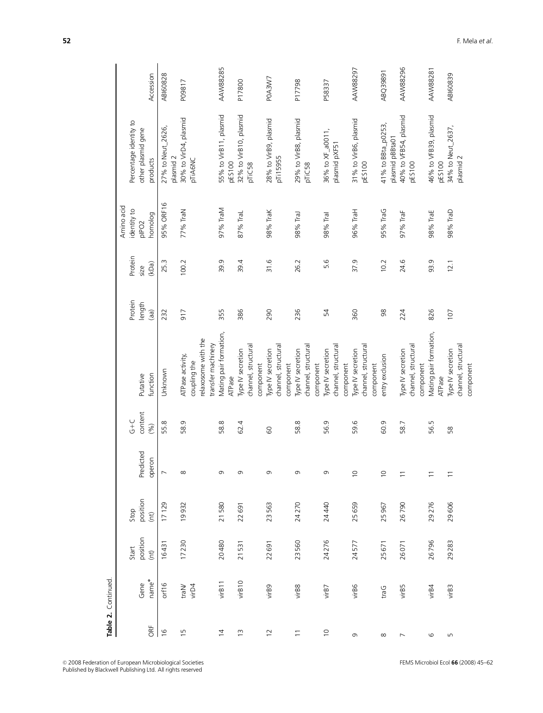|                |                   | Start             | Stop     |                          | $C + C$ |                                           | Protein | Protein | Amino acid<br>identity to | Percentage identity to                  |                 |
|----------------|-------------------|-------------------|----------|--------------------------|---------|-------------------------------------------|---------|---------|---------------------------|-----------------------------------------|-----------------|
|                | Gene              | position          | position | Predicted                | content | Putative                                  | length  | size    | plPO <sub>2</sub>         | other plasmid gene                      |                 |
| ORF            | name <sup>*</sup> | (n <sup>t</sup> ) | (m)      | operon                   | (%)     | function                                  | (a)     | (kDa)   | homolog                   | products                                | Accession       |
| $\frac{6}{2}$  | orf16             | 16431             | 17129    | $\overline{ }$           | 55.8    | Unknown                                   | 232     | 25.3    | 95% ORF16                 | 27% to Neut_2626,<br>plasmid 2          | <b>ABI60828</b> |
|                |                   |                   |          |                          |         |                                           |         |         |                           |                                         |                 |
| 15             | traN<br>virD4     | 17230             | 19932    | $\infty$                 | 58.9    | ATPase activity,<br>coupling the          | 917     | 100.2   | 77% TraN                  | 30% to VirD4, plasmid<br>pTiA6NC        | P09817          |
|                |                   |                   |          |                          |         | relaxosome with the<br>transfer machinery |         |         |                           |                                         |                 |
|                |                   |                   |          |                          |         |                                           |         |         |                           |                                         |                 |
| $\overline{4}$ | virB11            | 20480             | 21580    | G                        | 58.8    | Mating pair formation,<br>ATPase          | 355     | 39.9    | 97% TraM                  | 55% to VirB11, plasmid<br><b>pES100</b> | <b>AAW88285</b> |
| $\overline{1}$ | virB10            | 21531             | 22691    | G                        | 62.4    | Type IV secretion                         | 386     | 39.4    | 87% TraL                  | 32% to VirB10, plasmid                  | P17800          |
|                |                   |                   |          |                          |         | channel, structural                       |         |         |                           | pTiC58                                  |                 |
|                |                   |                   |          |                          |         | component                                 |         |         |                           |                                         |                 |
| $\overline{C}$ | virB9             | 22691             | 23563    | Ō                        | 60      | Type IV secretion                         | 290     | 31.6    | 98% TraK                  | 28% to VirB9, plasmid                   | POA3W7          |
|                |                   |                   |          |                          |         | channel, structural                       |         |         |                           | pTi15955                                |                 |
|                |                   |                   |          |                          |         | component                                 |         |         |                           |                                         |                 |
| $\overline{1}$ | virB8             | 23560             | 24270    | G                        | 58.8    | Type IV secretion                         | 236     | 26.2    | 98% TraJ                  | 29% to VirB8, plasmid                   | P17798          |
|                |                   |                   |          |                          |         | channel, structural                       |         |         |                           | pTiC58                                  |                 |
|                |                   |                   |          |                          |         | component                                 |         |         |                           |                                         |                 |
| $\supseteq$    | virB7             | 24276             | 24440    | G                        | 56.9    | Type IV secretion                         | 54      | 5.6     | 98% Tral                  | 36% to XF_a0011,                        | P58337          |
|                |                   |                   |          |                          |         | channel, structural                       |         |         |                           | plasmid pXF51                           |                 |
|                |                   |                   |          |                          |         | component                                 |         |         |                           |                                         |                 |
| G              | virB6             | 24577             | 25659    | $\supseteq$              | 59.6    | Type IV secretion                         | 360     | 37.9    | 96% TraH                  | 31% to VirB6, plasmid                   | AAW88297        |
|                |                   |                   |          |                          |         | channel, structural<br>component          |         |         |                           | <b>pES100</b>                           |                 |
| $\infty$       | traG              | 25671             | 25967    | $\overline{C}$           | 60.9    | entry exclusion                           | 98      | 10.2    | 95% TraG                  | 41% to BBta_p0253,                      | ABQ39891        |
|                |                   |                   |          |                          |         |                                           |         |         |                           | plasmid pBBta01                         |                 |
| $\overline{ }$ | virB5             | 26071             | 26790    | $\overline{\phantom{0}}$ | 58.7    | Type IV secretion                         | 224     | 24.6    | 97% TraF                  | 40% to VFB54, plasmid                   | AAW88296        |
|                |                   |                   |          |                          |         | channel, structural                       |         |         |                           | <b>pES100</b>                           |                 |
|                |                   |                   |          |                          |         | component                                 |         |         |                           |                                         |                 |
| $\circ$        | virB4             | 26796             | 29276    | $\overline{1}$           | 56.5    | Mating pair formation,                    | 826     | 93.9    | 98% TraE                  | 46% to VFB39, plasmid                   | <b>AAW88281</b> |
|                |                   |                   |          |                          |         | ATPase                                    |         |         |                           | <b>pES100</b>                           |                 |
| Б              | virB3             | 29283             | 29606    | $\overline{1}$           | 58      | Type IV secretion                         | 107     | 12.1    | 98% TraD                  | 34% to Neut_2637,                       | <b>ABI60839</b> |
|                |                   |                   |          |                          |         | channel, structural                       |         |         |                           | plasmid 2                               |                 |
|                |                   |                   |          |                          |         | component                                 |         |         |                           |                                         |                 |

Table 2. Continued.

Table 2. Continued.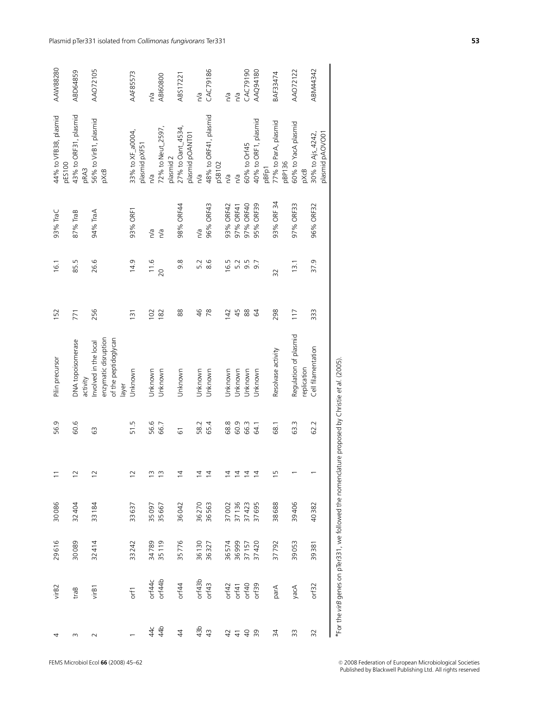| 29616                      | 30086                   | $\overline{1}$                | 56.9 | Pilin precursor                                                                | 152                                           | 16.1 | 93% TraC   | 44% to VFB38, plasmid<br><b>pES100</b> | AAW88280        |
|----------------------------|-------------------------|-------------------------------|------|--------------------------------------------------------------------------------|-----------------------------------------------|------|------------|----------------------------------------|-----------------|
|                            | 32404<br>30089          | $\overline{c}$                | 60.6 | DNA topoisomerase<br>activity                                                  | 771                                           | 85.5 | 87% TraB   | 43% to ORF31, plasmid<br>pRA3          | ABD64859        |
|                            | 33184<br>32414          | $\overline{c}$                | යි   | enzymatic disruption<br>of the peptidoglycan<br>Involved in the local<br>layer | 256                                           | 26.6 | 94% TraA   | 56% to VirB1, plasmid<br>pXcB          | AA072105        |
|                            | 33637<br>33242          | $\overline{c}$                | 51.5 | Unknown                                                                        | 131                                           | 14.9 | 93% ORF1   | 33% to XF_a0004,<br>plasmid pXF51      | AAF85573        |
|                            | 35097                   | ≅                             | 56.6 | Unknown                                                                        | 102                                           | 11.6 | n/a        | n/a                                    | n/a             |
|                            | 35667<br>34789<br>35119 | $\tilde{=}$                   | 66.7 | Unknown                                                                        | 182                                           | 20   | n/a        | 72% to Neut_2597,<br>plasmid 2         | <b>ABI60800</b> |
|                            | 36042<br>35776          | $\bar{4}$                     | 51   | Unknown                                                                        | 88                                            | 9.8  | 98% ORF44  | 27% to Oant_4534,<br>plasmid pOANT01   | ABS17221        |
| 36130                      | 36270                   | $\overline{4}$                | 58.2 | Unknown                                                                        | $\frac{4}{6}$                                 | 5.2  | n/a        | n/a                                    | n/a             |
| 36327                      | 36563                   | $\overline{4}$                | 65.4 | Unknown                                                                        | 78                                            | 8.6  | 96% ORF43  | 48% to ORF41, plasmid                  | CAC79186        |
|                            |                         |                               |      |                                                                                |                                               |      |            | pSB102                                 |                 |
| 36 574<br>36 999<br>37 157 | 37002                   | $\overline{4}$                | 68.8 | Jnknown                                                                        | 42                                            | 16.5 | 93% ORF42  | n/a                                    | n/a             |
|                            | 37136                   |                               | 60.9 | Unknown                                                                        | 45                                            | 5.2  | 97% ORF41  | n/a                                    | n/a             |
|                            | 37423                   | $\overline{z}$ $\overline{z}$ | 66.3 | Jnknown                                                                        | $\stackrel{\textstyle\circ}{\textstyle\circ}$ | 9.5  | 97% ORF40  | 60% to Orf45                           | CAC79190        |
| 37420                      | 37695                   | $\overline{4}$                | 64.1 | Unknown                                                                        | $\mathcal{Z}$                                 | 9.7  | 95% ORF39  | 40% to ORF1, plasmid<br>pBFp1          | AAQ94180        |
| 37792                      | 38688                   | ≌                             | 68.1 | Resolvase activity                                                             | 298                                           | 32   | 93% ORF 34 | 77% to ParA, plasmid<br>pBP136         | BAF33474        |
| 39053                      | 39406                   |                               | 63.3 | Regulation of plasmid<br>replication                                           | 117                                           | 13.1 | 97% ORF33  | 60% to YacA plasmid<br>pXcB            | AA072122        |
| 39381                      | 40382                   |                               | 62.2 | Cell filamentation                                                             | 333                                           | 37.9 | 96% ORF32  | plasmid pAOVO01<br>30% to Ajs_4242,    | ABM44342        |
|                            | ĵ                       |                               |      |                                                                                |                                               |      |            |                                        |                 |

\*For the virB genes on pTer331, we followed the nomendature proposed by Christie et al. (2005).  $*$  For the *virB* genes on pTer331, we followed the nomenclature proposed by Christie et al. (2005).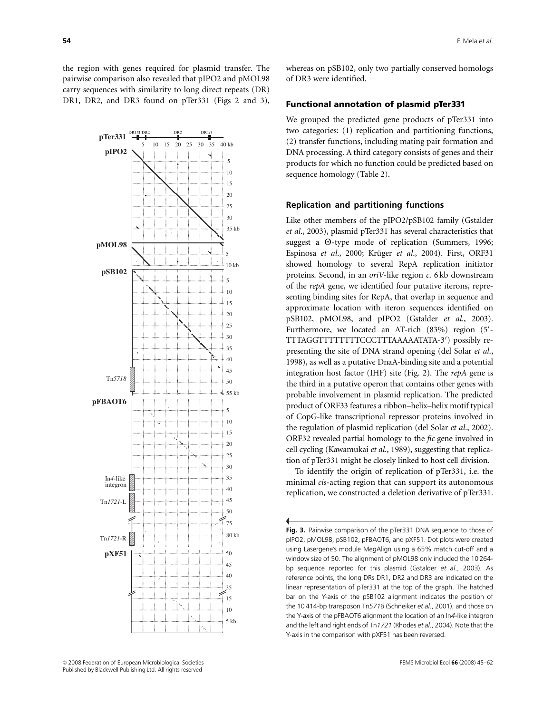the region with genes required for plasmid transfer. The pairwise comparison also revealed that pIPO2 and pMOL98 carry sequences with similarity to long direct repeats (DR) DR1, DR2, and DR3 found on pTer331 (Figs 2 and 3),



whereas on pSB102, only two partially conserved homologs of DR3 were identified.

### Functional annotation of plasmid pTer331

We grouped the predicted gene products of pTer331 into two categories: (1) replication and partitioning functions, (2) transfer functions, including mating pair formation and DNA processing. A third category consists of genes and their products for which no function could be predicted based on sequence homology (Table 2).

#### Replication and partitioning functions

Like other members of the pIPO2/pSB102 family (Gstalder et al., 2003), plasmid pTer331 has several characteristics that suggest a  $\Theta$ -type mode of replication (Summers, 1996; Espinosa et al., 2000; Krüger et al., 2004). First, ORF31 showed homology to several RepA replication initiator proteins. Second, in an oriV-like region c. 6 kb downstream of the repA gene, we identified four putative iterons, representing binding sites for RepA, that overlap in sequence and approximate location with iteron sequences identified on pSB102, pMOL98, and pIPO2 (Gstalder et al., 2003). Furthermore, we located an AT-rich (83%) region (5'-TTTAGGTTTTTTTTCCCTTTAAAAATATA-3') possibly representing the site of DNA strand opening (del Solar et al., 1998), as well as a putative DnaA-binding site and a potential integration host factor (IHF) site (Fig. 2). The repA gene is the third in a putative operon that contains other genes with probable involvement in plasmid replication. The predicted product of ORF33 features a ribbon–helix–helix motif typical of CopG-like transcriptional repressor proteins involved in the regulation of plasmid replication (del Solar et al., 2002). ORF32 revealed partial homology to the fic gene involved in cell cycling (Kawamukai et al., 1989), suggesting that replication of pTer331 might be closely linked to host cell division.

To identify the origin of replication of pTer331, i.e. the minimal *cis*-acting region that can support its autonomous replication, we constructed a deletion derivative of pTer331.

Fig. 3. Pairwise comparison of the pTer331 DNA sequence to those of pIPO2, pMOL98, pSB102, pFBAOT6, and pXF51. Dot plots were created using Lasergene's module MegAlign using a 65% match cut-off and a window size of 50. The alignment of pMOL98 only included the 10 264 bp sequence reported for this plasmid (Gstalder et al., 2003). As reference points, the long DRs DR1, DR2 and DR3 are indicated on the linear representation of pTer331 at the top of the graph. The hatched bar on the Y-axis of the pSB102 alignment indicates the position of the 10 414-bp transposon Tn5718 (Schneiker et al., 2001), and those on the Y-axis of the pFBAOT6 alignment the location of an In4-like integron and the left and right ends of Tn1721 (Rhodes et al., 2004). Note that the Y-axis in the comparison with pXF51 has been reversed.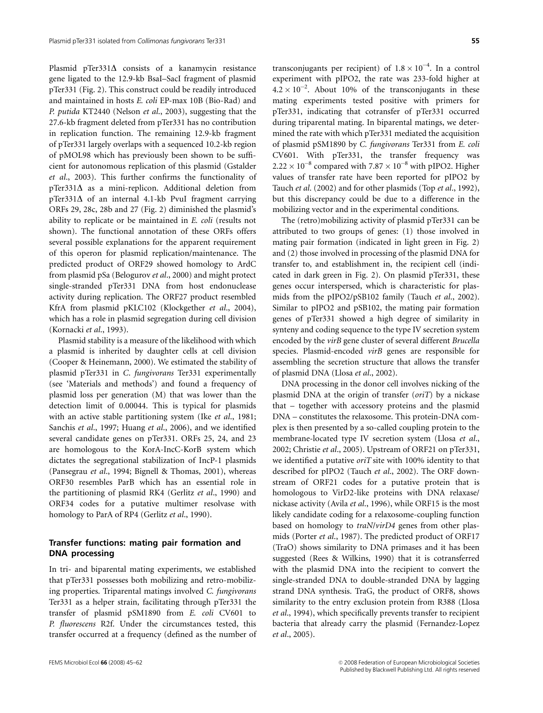Plasmid pTer331 $\Delta$  consists of a kanamycin resistance gene ligated to the 12.9-kb BsaI–SacI fragment of plasmid pTer331 (Fig. 2). This construct could be readily introduced and maintained in hosts E. coli EP-max 10B (Bio-Rad) and P. putida KT2440 (Nelson et al., 2003), suggesting that the 27.6-kb fragment deleted from pTer331 has no contribution in replication function. The remaining 12.9-kb fragment of pTer331 largely overlaps with a sequenced 10.2-kb region of pMOL98 which has previously been shown to be sufficient for autonomous replication of this plasmid (Gstalder et al., 2003). This further confirms the functionality of  $p$ Ter331 $\Delta$  as a mini-replicon. Additional deletion from  $p$ Ter331 $\Delta$  of an internal 4.1-kb PvuI fragment carrying ORFs 29, 28c, 28b and 27 (Fig. 2) diminished the plasmid's ability to replicate or be maintained in E. coli (results not shown). The functional annotation of these ORFs offers several possible explanations for the apparent requirement of this operon for plasmid replication/maintenance. The predicted product of ORF29 showed homology to ArdC from plasmid pSa (Belogurov et al., 2000) and might protect single-stranded pTer331 DNA from host endonuclease activity during replication. The ORF27 product resembled KfrA from plasmid pKLC102 (Klockgether et al., 2004), which has a role in plasmid segregation during cell division (Kornacki et al., 1993).

Plasmid stability is a measure of the likelihood with which a plasmid is inherited by daughter cells at cell division (Cooper & Heinemann, 2000). We estimated the stability of plasmid pTer331 in C. fungivorans Ter331 experimentally (see 'Materials and methods') and found a frequency of plasmid loss per generation (M) that was lower than the detection limit of 0.00044. This is typical for plasmids with an active stable partitioning system (Ike et al., 1981; Sanchis et al., 1997; Huang et al., 2006), and we identified several candidate genes on pTer331. ORFs 25, 24, and 23 are homologous to the KorA-IncC-KorB system which dictates the segregational stabilization of IncP-1 plasmids (Pansegrau et al., 1994; Bignell & Thomas, 2001), whereas ORF30 resembles ParB which has an essential role in the partitioning of plasmid RK4 (Gerlitz et al., 1990) and ORF34 codes for a putative multimer resolvase with homology to ParA of RP4 (Gerlitz et al., 1990).

## Transfer functions: mating pair formation and DNA processing

In tri- and biparental mating experiments, we established that pTer331 possesses both mobilizing and retro-mobilizing properties. Triparental matings involved C. fungivorans Ter331 as a helper strain, facilitating through pTer331 the transfer of plasmid pSM1890 from E. coli CV601 to P. fluorescens R2f. Under the circumstances tested, this transfer occurred at a frequency (defined as the number of

transconjugants per recipient) of  $1.8 \times 10^{-4}$ . In a control experiment with pIPO2, the rate was 233-fold higher at  $4.2 \times 10^{-2}$ . About 10% of the transconjugants in these mating experiments tested positive with primers for pTer331, indicating that cotransfer of pTer331 occurred during triparental mating. In biparental matings, we determined the rate with which pTer331 mediated the acquisition of plasmid pSM1890 by C. fungivorans Ter331 from E. coli CV601. With pTer331, the transfer frequency was  $2.22 \times 10^{-8}$  compared with  $7.87 \times 10^{-8}$  with pIPO2. Higher values of transfer rate have been reported for pIPO2 by Tauch et al. (2002) and for other plasmids (Top et al., 1992),

The (retro)mobilizing activity of plasmid pTer331 can be attributed to two groups of genes: (1) those involved in mating pair formation (indicated in light green in Fig. 2) and (2) those involved in processing of the plasmid DNA for transfer to, and establishment in, the recipient cell (indicated in dark green in Fig. 2). On plasmid pTer331, these genes occur interspersed, which is characteristic for plasmids from the pIPO2/pSB102 family (Tauch et al., 2002). Similar to pIPO2 and pSB102, the mating pair formation genes of pTer331 showed a high degree of similarity in synteny and coding sequence to the type IV secretion system encoded by the virB gene cluster of several different Brucella species. Plasmid-encoded virB genes are responsible for assembling the secretion structure that allows the transfer of plasmid DNA (Llosa et al., 2002).

but this discrepancy could be due to a difference in the mobilizing vector and in the experimental conditions.

DNA processing in the donor cell involves nicking of the plasmid DNA at the origin of transfer  $(oriT)$  by a nickase that – together with accessory proteins and the plasmid DNA – constitutes the relaxosome. This protein-DNA complex is then presented by a so-called coupling protein to the membrane-located type IV secretion system (Llosa et al., 2002; Christie et al., 2005). Upstream of ORF21 on pTer331, we identified a putative  $or$ iT site with 100% identity to that described for pIPO2 (Tauch et al., 2002). The ORF downstream of ORF21 codes for a putative protein that is homologous to VirD2-like proteins with DNA relaxase/ nickase activity (Avila et al., 1996), while ORF15 is the most likely candidate coding for a relaxosome-coupling function based on homology to traN/virD4 genes from other plasmids (Porter et al., 1987). The predicted product of ORF17 (TraO) shows similarity to DNA primases and it has been suggested (Rees & Wilkins, 1990) that it is cotransferred with the plasmid DNA into the recipient to convert the single-stranded DNA to double-stranded DNA by lagging strand DNA synthesis. TraG, the product of ORF8, shows similarity to the entry exclusion protein from R388 (Llosa et al., 1994), which specifically prevents transfer to recipient bacteria that already carry the plasmid (Fernandez-Lopez et al., 2005).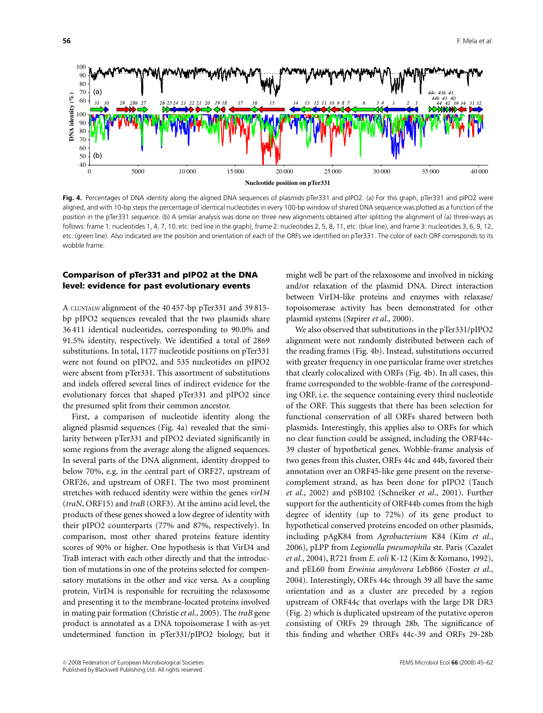

Fig. 4. Percentages of DNA identity along the aligned DNA sequences of plasmids pTer331 and pIPO2. (a) For this graph, pTer331 and pIPO2 were aligned, and with 10-bp steps the percentage of identical nucleotides in every 100-bp window of shared DNA sequence was plotted as a function of the position in the pTer331 sequence. (b) A similar analysis was done on three new alignments obtained after splitting the alignment of (a) three-ways as follows: frame 1: nucleotides 1, 4, 7, 10, etc. (red line in the graph), frame 2: nucleotides 2, 5, 8, 11, etc. (blue line), and frame 3: nucleotides 3, 6, 9, 12, etc. (green line). Also indicated are the position and orientation of each of the ORFs we identified on pTer331. The color of each ORF corresponds to its wobble frame.

## Comparison of pTer331 and pIPO2 at the DNA level: evidence for past evolutionary events

A CLUSTALW alignment of the 40 457-bp pTer331 and 39 815 bp pIPO2 sequences revealed that the two plasmids share 36 411 identical nucleotides, corresponding to 90.0% and 91.5% identity, respectively. We identified a total of 2869 substitutions. In total, 1177 nucleotide positions on pTer331 were not found on pIPO2, and 535 nucleotides on pIPO2 were absent from pTer331. This assortment of substitutions and indels offered several lines of indirect evidence for the evolutionary forces that shaped pTer331 and pIPO2 since the presumed split from their common ancestor.

First, a comparison of nucleotide identity along the aligned plasmid sequences (Fig. 4a) revealed that the similarity between pTer331 and pIPO2 deviated significantly in some regions from the average along the aligned sequences. In several parts of the DNA alignment, identity dropped to below 70%, e.g. in the central part of ORF27, upstream of ORF26, and upstream of ORF1. The two most prominent stretches with reduced identity were within the genes virD4 (traN, ORF15) and traB (ORF3). At the amino acid level, the products of these genes showed a low degree of identity with their pIPO2 counterparts (77% and 87%, respectively). In comparison, most other shared proteins feature identity scores of 90% or higher. One hypothesis is that VirD4 and TraB interact with each other directly and that the introduction of mutations in one of the proteins selected for compensatory mutations in the other and vice versa. As a coupling protein, VirD4 is responsible for recruiting the relaxosome and presenting it to the membrane-located proteins involved in mating pair formation (Christie et al., 2005). The traB gene product is annotated as a DNA topoisomerase I with as-yet undetermined function in pTer331/pIPO2 biology, but it

might well be part of the relaxosome and involved in nicking and/or relaxation of the plasmid DNA. Direct interaction between VirD4-like proteins and enzymes with relaxase/ topoisomerase activity has been demonstrated for other plasmid systems (Szpirer et al., 2000).

We also observed that substitutions in the pTer331/pIPO2 alignment were not randomly distributed between each of the reading frames (Fig. 4b). Instead, substitutions occurred with greater frequency in one particular frame over stretches that clearly colocalized with ORFs (Fig. 4b). In all cases, this frame corresponded to the wobble-frame of the corresponding ORF, i.e. the sequence containing every third nucleotide of the ORF. This suggests that there has been selection for functional conservation of all ORFs shared between both plasmids. Interestingly, this applies also to ORFs for which no clear function could be assigned, including the ORF44c-39 cluster of hypothetical genes. Wobble-frame analysis of two genes from this cluster, ORFs 44c and 44b, favored their annotation over an ORF45-like gene present on the reversecomplement strand, as has been done for pIPO2 (Tauch et al., 2002) and pSB102 (Schneiker et al., 2001). Further support for the authenticity of ORF44b comes from the high degree of identity (up to 72%) of its gene product to hypothetical conserved proteins encoded on other plasmids, including pAgK84 from Agrobacterium K84 (Kim et al., 2006), pLPP from Legionella pneumophila str. Paris (Cazalet et al., 2004), R721 from E. coli K-12 (Kim & Komano, 1992), and pEL60 from Erwinia amylovora LebB66 (Foster et al., 2004). Interestingly, ORFs 44c through 39 all have the same orientation and as a cluster are preceded by a region upstream of ORF44c that overlaps with the large DR DR3 (Fig. 2) which is duplicated upstream of the putative operon consisting of ORFs 29 through 28b. The significance of this finding and whether ORFs 44c-39 and ORFs 29-28b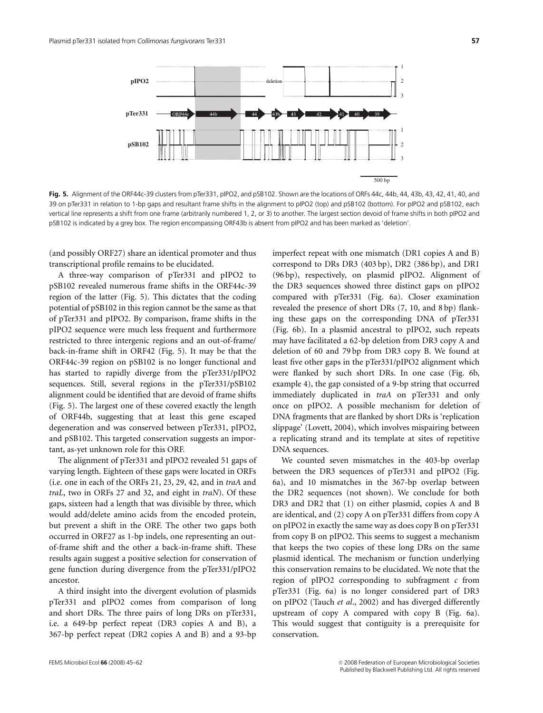

Fig. 5. Alignment of the ORF44c-39 clusters from pTer331, pIPO2, and pSB102. Shown are the locations of ORFs 44c, 44b, 44, 43b, 43, 42, 41, 40, and 39 on pTer331 in relation to 1-bp gaps and resultant frame shifts in the alignment to pIPO2 (top) and pSB102 (bottom). For pIPO2 and pSB102, each vertical line represents a shift from one frame (arbitrarily numbered 1, 2, or 3) to another. The largest section devoid of frame shifts in both pIPO2 and pSB102 is indicated by a grey box. The region encompassing ORF43b is absent from pIPO2 and has been marked as 'deletion'.

(and possibly ORF27) share an identical promoter and thus transcriptional profile remains to be elucidated.

A three-way comparison of pTer331 and pIPO2 to pSB102 revealed numerous frame shifts in the ORF44c-39 region of the latter (Fig. 5). This dictates that the coding potential of pSB102 in this region cannot be the same as that of pTer331 and pIPO2. By comparison, frame shifts in the pIPO2 sequence were much less frequent and furthermore restricted to three intergenic regions and an out-of-frame/ back-in-frame shift in ORF42 (Fig. 5). It may be that the ORF44c-39 region on pSB102 is no longer functional and has started to rapidly diverge from the pTer331/pIPO2 sequences. Still, several regions in the pTer331/pSB102 alignment could be identified that are devoid of frame shifts (Fig. 5). The largest one of these covered exactly the length of ORF44b, suggesting that at least this gene escaped degeneration and was conserved between pTer331, pIPO2, and pSB102. This targeted conservation suggests an important, as-yet unknown role for this ORF.

The alignment of pTer331 and pIPO2 revealed 51 gaps of varying length. Eighteen of these gaps were located in ORFs (i.e. one in each of the ORFs 21, 23, 29, 42, and in traA and traL, two in ORFs 27 and 32, and eight in traN). Of these gaps, sixteen had a length that was divisible by three, which would add/delete amino acids from the encoded protein, but prevent a shift in the ORF. The other two gaps both occurred in ORF27 as 1-bp indels, one representing an outof-frame shift and the other a back-in-frame shift. These results again suggest a positive selection for conservation of gene function during divergence from the pTer331/pIPO2 ancestor.

A third insight into the divergent evolution of plasmids pTer331 and pIPO2 comes from comparison of long and short DRs. The three pairs of long DRs on pTer331, i.e. a 649-bp perfect repeat (DR3 copies A and B), a 367-bp perfect repeat (DR2 copies A and B) and a 93-bp

the DR3 sequences showed three distinct gaps on pIPO2 compared with pTer331 (Fig. 6a). Closer examination revealed the presence of short DRs (7, 10, and 8 bp) flanking these gaps on the corresponding DNA of pTer331 (Fig. 6b). In a plasmid ancestral to pIPO2, such repeats may have facilitated a 62-bp deletion from DR3 copy A and deletion of 60 and 79 bp from DR3 copy B. We found at least five other gaps in the pTer331/pIPO2 alignment which were flanked by such short DRs. In one case (Fig. 6b, example 4), the gap consisted of a 9-bp string that occurred immediately duplicated in traA on pTer331 and only once on pIPO2. A possible mechanism for deletion of DNA fragments that are flanked by short DRs is 'replication slippage' (Lovett, 2004), which involves mispairing between a replicating strand and its template at sites of repetitive DNA sequences. We counted seven mismatches in the 403-bp overlap

imperfect repeat with one mismatch (DR1 copies A and B) correspond to DRs DR3 (403 bp), DR2 (386 bp), and DR1 (96 bp), respectively, on plasmid pIPO2. Alignment of

between the DR3 sequences of pTer331 and pIPO2 (Fig. 6a), and 10 mismatches in the 367-bp overlap between the DR2 sequences (not shown). We conclude for both DR3 and DR2 that (1) on either plasmid, copies A and B are identical, and (2) copy A on pTer331 differs from copy A on pIPO2 in exactly the same way as does copy B on pTer331 from copy B on pIPO2. This seems to suggest a mechanism that keeps the two copies of these long DRs on the same plasmid identical. The mechanism or function underlying this conservation remains to be elucidated. We note that the region of pIPO2 corresponding to subfragment  $c$  from pTer331 (Fig. 6a) is no longer considered part of DR3 on pIPO2 (Tauch et al., 2002) and has diverged differently upstream of copy A compared with copy B (Fig. 6a). This would suggest that contiguity is a prerequisite for conservation.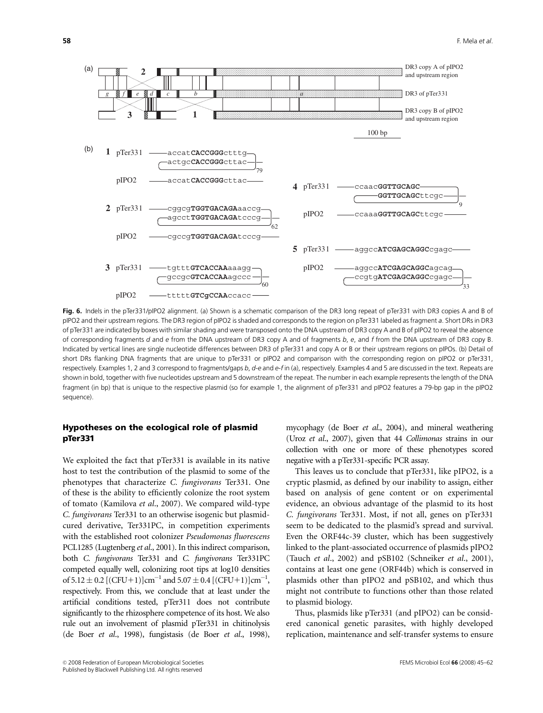

Fig. 6. Indels in the pTer331/pIPO2 alignment. (a) Shown is a schematic comparison of the DR3 long repeat of pTer331 with DR3 copies A and B of pIPO2 and their upstream regions. The DR3 region of pIPO2 is shaded and corresponds to the region on pTer331 labeled as fragment a. Short DRs in DR3 of pTer331 are indicated by boxes with similar shading and were transposed onto the DNA upstream of DR3 copy A and B of pIPO2 to reveal the absence of corresponding fragments d and e from the DNA upstream of DR3 copy A and of fragments b, e, and f from the DNA upstream of DR3 copy B. Indicated by vertical lines are single nucleotide differences between DR3 of pTer331 and copy A or B or their upstream regions on pIPOs. (b) Detail of short DRs flanking DNA fragments that are unique to pTer331 or pIPO2 and comparison with the corresponding region on pIPO2 or pTer331, respectively. Examples 1, 2 and 3 correspond to fragments/gaps b, d-e and e-f in (a), respectively. Examples 4 and 5 are discussed in the text. Repeats are shown in bold, together with five nucleotides upstream and 5 downstream of the repeat. The number in each example represents the length of the DNA fragment (in bp) that is unique to the respective plasmid (so for example 1, the alignment of pTer331 and pIPO2 features a 79-bp gap in the pIPO2 sequence).

## Hypotheses on the ecological role of plasmid pTer331

We exploited the fact that pTer331 is available in its native host to test the contribution of the plasmid to some of the phenotypes that characterize C. fungivorans Ter331. One of these is the ability to efficiently colonize the root system of tomato (Kamilova et al., 2007). We compared wild-type C. fungivorans Ter331 to an otherwise isogenic but plasmidcured derivative, Ter331PC, in competition experiments with the established root colonizer Pseudomonas fluorescens PCL1285 (Lugtenberg et al., 2001). In this indirect comparison, both C. fungivorans Ter331 and C. fungivorans Ter331PC competed equally well, colonizing root tips at log10 densities of  $5.12 \pm 0.2$  [(CFU+1)]cm<sup>-1</sup> and  $5.07 \pm 0.4$  [(CFU+1)]cm<sup>-1</sup>, respectively. From this, we conclude that at least under the artificial conditions tested, pTer311 does not contribute significantly to the rhizosphere competence of its host. We also rule out an involvement of plasmid pTer331 in chitinolysis (de Boer et al., 1998), fungistasis (de Boer et al., 1998),

mycophagy (de Boer et al., 2004), and mineral weathering (Uroz et al., 2007), given that 44 Collimonas strains in our collection with one or more of these phenotypes scored negative with a pTer331-specific PCR assay.

This leaves us to conclude that pTer331, like pIPO2, is a cryptic plasmid, as defined by our inability to assign, either based on analysis of gene content or on experimental evidence, an obvious advantage of the plasmid to its host C. fungivorans Ter331. Most, if not all, genes on pTer331 seem to be dedicated to the plasmid's spread and survival. Even the ORF44c-39 cluster, which has been suggestively linked to the plant-associated occurrence of plasmids pIPO2 (Tauch et al., 2002) and pSB102 (Schneiker et al., 2001), contains at least one gene (ORF44b) which is conserved in plasmids other than pIPO2 and pSB102, and which thus might not contribute to functions other than those related to plasmid biology.

Thus, plasmids like pTer331 (and pIPO2) can be considered canonical genetic parasites, with highly developed replication, maintenance and self-transfer systems to ensure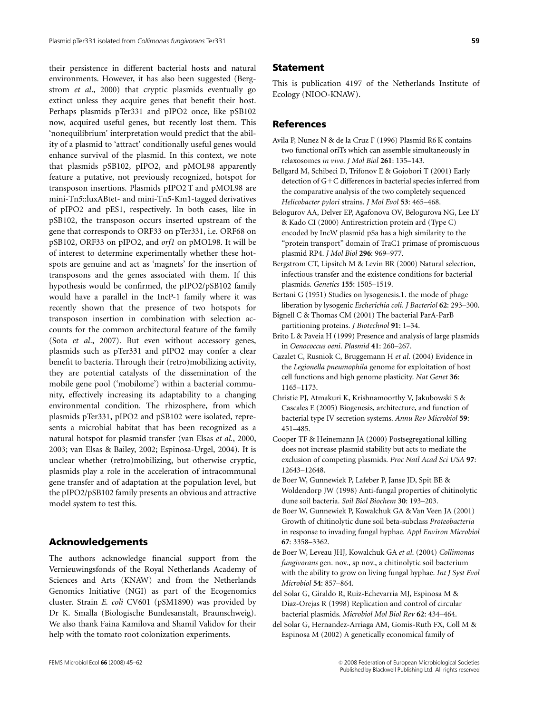their persistence in different bacterial hosts and natural environments. However, it has also been suggested (Bergstrom et al., 2000) that cryptic plasmids eventually go extinct unless they acquire genes that benefit their host. Perhaps plasmids pTer331 and pIPO2 once, like pSB102 now, acquired useful genes, but recently lost them. This 'nonequilibrium' interpretation would predict that the ability of a plasmid to 'attract' conditionally useful genes would enhance survival of the plasmid. In this context, we note that plasmids pSB102, pIPO2, and pMOL98 apparently feature a putative, not previously recognized, hotspot for transposon insertions. Plasmids pIPO2 T and pMOL98 are mini-Tn5::luxABtet- and mini-Tn5-Km1-tagged derivatives of pIPO2 and pES1, respectively. In both cases, like in pSB102, the transposon occurs inserted upstream of the gene that corresponds to ORF33 on pTer331, i.e. ORF68 on pSB102, ORF33 on pIPO2, and orf1 on pMOL98. It will be of interest to determine experimentally whether these hotspots are genuine and act as 'magnets' for the insertion of transposons and the genes associated with them. If this hypothesis would be confirmed, the pIPO2/pSB102 family would have a parallel in the IncP-1 family where it was recently shown that the presence of two hotspots for transposon insertion in combination with selection accounts for the common architectural feature of the family (Sota et al., 2007). But even without accessory genes, plasmids such as pTer331 and pIPO2 may confer a clear benefit to bacteria. Through their (retro)mobilizing activity, they are potential catalysts of the dissemination of the mobile gene pool ('mobilome') within a bacterial community, effectively increasing its adaptability to a changing environmental condition. The rhizosphere, from which plasmids pTer331, pIPO2 and pSB102 were isolated, represents a microbial habitat that has been recognized as a natural hotspot for plasmid transfer (van Elsas et al., 2000, 2003; van Elsas & Bailey, 2002; Espinosa-Urgel, 2004). It is unclear whether (retro)mobilizing, but otherwise cryptic, plasmids play a role in the acceleration of intracommunal gene transfer and of adaptation at the population level, but the pIPO2/pSB102 family presents an obvious and attractive model system to test this.

# Acknowledgements

The authors acknowledge financial support from the Vernieuwingsfonds of the Royal Netherlands Academy of Sciences and Arts (KNAW) and from the Netherlands Genomics Initiative (NGI) as part of the Ecogenomics cluster. Strain E. coli CV601 (pSM1890) was provided by Dr K. Smalla (Biologische Bundesanstalt, Braunschweig). We also thank Faina Kamilova and Shamil Validov for their help with the tomato root colonization experiments.

#### Statement

This is publication 4197 of the Netherlands Institute of Ecology (NIOO-KNAW).

## References

- Avila P, Nunez N & de la Cruz F (1996) Plasmid R6 K contains two functional oriTs which can assemble simultaneously in relaxosomes in vivo. J Mol Biol 261: 135–143.
- Bellgard M, Schibeci D, Trifonov E & Gojobori T (2001) Early detection of G+C differences in bacterial species inferred from the comparative analysis of the two completely sequenced Helicobacter pylori strains. J Mol Evol 53: 465–468.
- Belogurov AA, Delver EP, Agafonova OV, Belogurova NG, Lee LY & Kado CI (2000) Antirestriction protein ard (Type C) encoded by IncW plasmid pSa has a high similarity to the "protein transport" domain of TraC1 primase of promiscuous plasmid RP4. J Mol Biol 296: 969–977.
- Bergstrom CT, Lipsitch M & Levin BR (2000) Natural selection, infectious transfer and the existence conditions for bacterial plasmids. Genetics 155: 1505–1519.
- Bertani G (1951) Studies on lysogenesis.1. the mode of phage liberation by lysogenic Escherichia coli. J Bacteriol 62: 293–300.
- Bignell C & Thomas CM (2001) The bacterial ParA-ParB partitioning proteins. J Biotechnol 91: 1–34.
- Brito L & Paveia H (1999) Presence and analysis of large plasmids in Oenococcus oeni. Plasmid 41: 260–267.
- Cazalet C, Rusniok C, Bruggemann H et al. (2004) Evidence in the Legionella pneumophila genome for exploitation of host cell functions and high genome plasticity. Nat Genet 36: 1165–1173.
- Christie PJ, Atmakuri K, Krishnamoorthy V, Jakubowski S & Cascales E (2005) Biogenesis, architecture, and function of bacterial type IV secretion systems. Annu Rev Microbiol 59: 451–485.
- Cooper TF & Heinemann JA (2000) Postsegregational killing does not increase plasmid stability but acts to mediate the exclusion of competing plasmids. Proc Natl Acad Sci USA 97: 12643–12648.
- de Boer W, Gunnewiek P, Lafeber P, Janse JD, Spit BE & Woldendorp JW (1998) Anti-fungal properties of chitinolytic dune soil bacteria. Soil Biol Biochem 30: 193–203.
- de Boer W, Gunnewiek P, Kowalchuk GA & Van Veen JA (2001) Growth of chitinolytic dune soil beta-subclass Proteobacteria in response to invading fungal hyphae. Appl Environ Microbiol 67: 3358–3362.
- de Boer W, Leveau JHJ, Kowalchuk GA et al. (2004) Collimonas fungivorans gen. nov., sp nov., a chitinolytic soil bacterium with the ability to grow on living fungal hyphae. Int J Syst Evol Microbiol 54: 857–864.
- del Solar G, Giraldo R, Ruiz-Echevarria MJ, Espinosa M & Diaz-Orejas R (1998) Replication and control of circular bacterial plasmids. Microbiol Mol Biol Rev 62: 434–464.
- del Solar G, Hernandez-Arriaga AM, Gomis-Ruth FX, Coll M & Espinosa M (2002) A genetically economical family of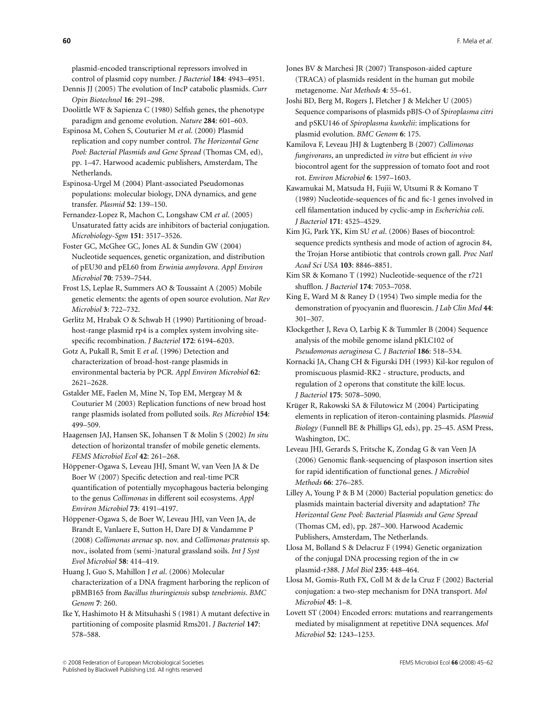plasmid-encoded transcriptional repressors involved in control of plasmid copy number. J Bacteriol 184: 4943–4951.

Dennis JJ (2005) The evolution of IncP catabolic plasmids. Curr Opin Biotechnol 16: 291–298.

Doolittle WF & Sapienza C (1980) Selfish genes, the phenotype paradigm and genome evolution. Nature 284: 601–603.

Espinosa M, Cohen S, Couturier M et al. (2000) Plasmid replication and copy number control. The Horizontal Gene Pool: Bacterial Plasmids and Gene Spread (Thomas CM, ed), pp. 1–47. Harwood academic publishers, Amsterdam, The Netherlands.

Espinosa-Urgel M (2004) Plant-associated Pseudomonas populations: molecular biology, DNA dynamics, and gene transfer. Plasmid 52: 139–150.

Fernandez-Lopez R, Machon C, Longshaw CM et al. (2005) Unsaturated fatty acids are inhibitors of bacterial conjugation. Microbiology-Sgm 151: 3517–3526.

Foster GC, McGhee GC, Jones AL & Sundin GW (2004) Nucleotide sequences, genetic organization, and distribution of pEU30 and pEL60 from Erwinia amylovora. Appl Environ Microbiol 70: 7539–7544.

Frost LS, Leplae R, Summers AO & Toussaint A (2005) Mobile genetic elements: the agents of open source evolution. Nat Rev Microbiol 3: 722–732.

Gerlitz M, Hrabak O & Schwab H (1990) Partitioning of broadhost-range plasmid rp4 is a complex system involving sitespecific recombination. J Bacteriol 172: 6194–6203.

Gotz A, Pukall R, Smit E et al. (1996) Detection and characterization of broad-host-range plasmids in environmental bacteria by PCR. Appl Environ Microbiol 62: 2621–2628.

Gstalder ME, Faelen M, Mine N, Top EM, Mergeay M & Couturier M (2003) Replication functions of new broad host range plasmids isolated from polluted soils. Res Microbiol 154: 499–509.

Haagensen JAJ, Hansen SK, Johansen T & Molin S (2002) In situ detection of horizontal transfer of mobile genetic elements. FEMS Microbiol Ecol 42: 261–268.

Höppener-Ogawa S, Leveau JHJ, Smant W, van Veen JA & De Boer W (2007) Specific detection and real-time PCR quantification of potentially mycophagous bacteria belonging to the genus Collimonas in different soil ecosystems. Appl Environ Microbiol 73: 4191–4197.

Höppener-Ogawa S, de Boer W, Leveau JHJ, van Veen JA, de Brandt E, Vanlaere E, Sutton H, Dare DJ & Vandamme P (2008) Collimonas arenae sp. nov. and Collimonas pratensis sp. nov., isolated from (semi-)natural grassland soils. Int J Syst Evol Microbiol 58: 414–419.

Huang J, Guo S, Mahillon J et al. (2006) Molecular characterization of a DNA fragment harboring the replicon of pBMB165 from Bacillus thuringiensis subsp tenebrionis. BMC Genom 7: 260.

Ike Y, Hashimoto H & Mitsuhashi S (1981) A mutant defective in partitioning of composite plasmid Rms201. J Bacteriol 147: 578–588.

Jones BV & Marchesi JR (2007) Transposon-aided capture (TRACA) of plasmids resident in the human gut mobile metagenome. Nat Methods 4: 55–61.

Joshi BD, Berg M, Rogers J, Fletcher J & Melcher U (2005) Sequence comparisons of plasmids pBJS-O of Spiroplasma citri and pSKU146 of Spiroplasma kunkelii: implications for plasmid evolution. BMC Genom 6: 175.

Kamilova F, Leveau JHJ & Lugtenberg B (2007) Collimonas fungivorans, an unpredicted in vitro but efficient in vivo biocontrol agent for the suppression of tomato foot and root rot. Environ Microbiol 6: 1597–1603.

Kawamukai M, Matsuda H, Fujii W, Utsumi R & Komano T (1989) Nucleotide-sequences of fic and fic-1 genes involved in cell filamentation induced by cyclic-amp in Escherichia coli. J Bacteriol 171: 4525–4529.

Kim JG, Park YK, Kim SU et al. (2006) Bases of biocontrol: sequence predicts synthesis and mode of action of agrocin 84, the Trojan Horse antibiotic that controls crown gall. Proc Natl Acad Sci USA 103: 8846–8851.

Kim SR & Komano T (1992) Nucleotide-sequence of the r721 shufflon. J Bacteriol 174: 7053–7058.

King E, Ward M & Raney D (1954) Two simple media for the demonstration of pyocyanin and fluorescin. J Lab Clin Med 44: 301–307.

Klockgether J, Reva O, Larbig K & Tummler B (2004) Sequence analysis of the mobile genome island pKLC102 of Pseudomonas aeruginosa C. J Bacteriol 186: 518–534.

Kornacki JA, Chang CH & Figurski DH (1993) Kil-kor regulon of promiscuous plasmid-RK2 - structure, products, and regulation of 2 operons that constitute the kilE locus. J Bacteriol 175: 5078–5090.

Krüger R, Rakowski SA & Filutowicz M (2004) Participating elements in replication of iteron-containing plasmids. Plasmid Biology (Funnell BE & Phillips GJ, eds), pp. 25–45. ASM Press, Washington, DC.

Leveau JHJ, Gerards S, Fritsche K, Zondag G & van Veen JA (2006) Genomic flank-sequencing of plasposon insertion sites for rapid identification of functional genes. J Microbiol Methods 66: 276–285.

Lilley A, Young P & B M (2000) Bacterial population genetics: do plasmids maintain bacterial diversity and adaptation? The Horizontal Gene Pool: Bacterial Plasmids and Gene Spread (Thomas CM, ed), pp. 287–300. Harwood Academic Publishers, Amsterdam, The Netherlands.

Llosa M, Bolland S & Delacruz F (1994) Genetic organization of the conjugal DNA processing region of the in cw plasmid-r388. J Mol Biol 235: 448–464.

Llosa M, Gomis-Ruth FX, Coll M & de la Cruz F (2002) Bacterial conjugation: a two-step mechanism for DNA transport. Mol Microbiol 45: 1–8.

Lovett ST (2004) Encoded errors: mutations and rearrangements mediated by misalignment at repetitive DNA sequences. Mol Microbiol 52: 1243–1253.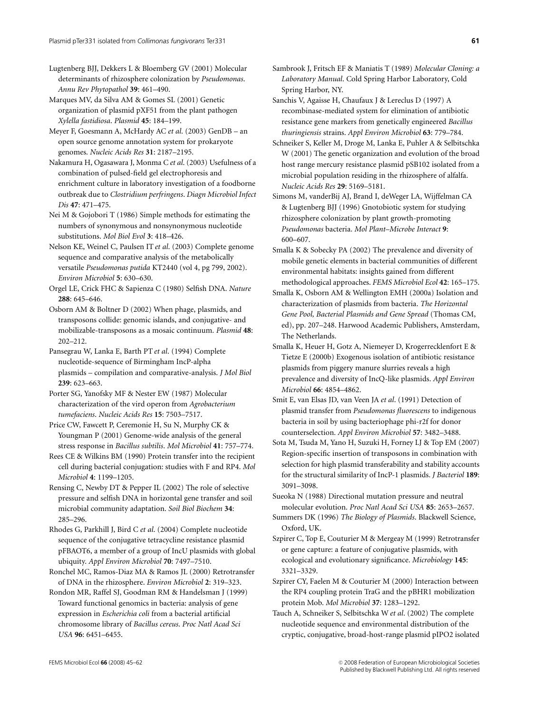Lugtenberg BJJ, Dekkers L & Bloemberg GV (2001) Molecular determinants of rhizosphere colonization by Pseudomonas. Annu Rev Phytopathol 39: 461–490.

Marques MV, da Silva AM & Gomes SL (2001) Genetic organization of plasmid pXF51 from the plant pathogen Xylella fastidiosa. Plasmid 45: 184–199.

Meyer F, Goesmann A, McHardy AC et al. (2003) GenDB – an open source genome annotation system for prokaryote genomes. Nucleic Acids Res 31: 2187–2195.

Nakamura H, Ogasawara J, Monma C et al. (2003) Usefulness of a combination of pulsed-field gel electrophoresis and enrichment culture in laboratory investigation of a foodborne outbreak due to Clostridium perfringens. Diagn Microbiol Infect Dis 47: 471–475.

Nei M & Gojobori T (1986) Simple methods for estimating the numbers of synonymous and nonsynonymous nucleotide substitutions. Mol Biol Evol 3: 418–426.

Nelson KE, Weinel C, Paulsen IT et al. (2003) Complete genome sequence and comparative analysis of the metabolically versatile Pseudomonas putida KT2440 (vol 4, pg 799, 2002). Environ Microbiol 5: 630–630.

Orgel LE, Crick FHC & Sapienza C (1980) Selfish DNA. Nature 288: 645–646.

Osborn AM & Boltner D (2002) When phage, plasmids, and transposons collide: genomic islands, and conjugative- and mobilizable-transposons as a mosaic continuum. Plasmid 48: 202–212.

Pansegrau W, Lanka E, Barth PT et al. (1994) Complete nucleotide-sequence of Birmingham IncP-alpha plasmids – compilation and comparative-analysis. J Mol Biol 239: 623–663.

Porter SG, Yanofsky MF & Nester EW (1987) Molecular characterization of the vird operon from Agrobacterium tumefaciens. Nucleic Acids Res 15: 7503–7517.

Price CW, Fawcett P, Ceremonie H, Su N, Murphy CK & Youngman P (2001) Genome-wide analysis of the general stress response in Bacillus subtilis. Mol Microbiol 41: 757–774.

Rees CE & Wilkins BM (1990) Protein transfer into the recipient cell during bacterial conjugation: studies with F and RP4. Mol Microbiol 4: 1199–1205.

Rensing C, Newby DT & Pepper IL (2002) The role of selective pressure and selfish DNA in horizontal gene transfer and soil microbial community adaptation. Soil Biol Biochem 34: 285–296.

Rhodes G, Parkhill J, Bird C et al. (2004) Complete nucleotide sequence of the conjugative tetracycline resistance plasmid pFBAOT6, a member of a group of IncU plasmids with global ubiquity. Appl Environ Microbiol 70: 7497–7510.

Ronchel MC, Ramos-Diaz MA & Ramos JL (2000) Retrotransfer of DNA in the rhizosphere. Environ Microbiol 2: 319–323.

Rondon MR, Raffel SJ, Goodman RM & Handelsman J (1999) Toward functional genomics in bacteria: analysis of gene expression in Escherichia coli from a bacterial artificial chromosome library of Bacillus cereus. Proc Natl Acad Sci USA 96: 6451–6455.

Sambrook J, Fritsch EF & Maniatis T (1989) Molecular Cloning: a Laboratory Manual. Cold Spring Harbor Laboratory, Cold Spring Harbor, NY.

Sanchis V, Agaisse H, Chaufaux J & Lereclus D (1997) A recombinase-mediated system for elimination of antibiotic resistance gene markers from genetically engineered Bacillus thuringiensis strains. Appl Environ Microbiol 63: 779–784.

Schneiker S, Keller M, Droge M, Lanka E, Puhler A & Selbitschka W (2001) The genetic organization and evolution of the broad host range mercury resistance plasmid pSB102 isolated from a microbial population residing in the rhizosphere of alfalfa. Nucleic Acids Res 29: 5169–5181.

Simons M, vanderBij AJ, Brand I, deWeger LA, Wijffelman CA & Lugtenberg BJJ (1996) Gnotobiotic system for studying rhizosphere colonization by plant growth-promoting Pseudomonas bacteria. Mol Plant–Microbe Interact 9: 600–607.

Smalla K & Sobecky PA (2002) The prevalence and diversity of mobile genetic elements in bacterial communities of different environmental habitats: insights gained from different methodological approaches. FEMS Microbiol Ecol 42: 165–175.

Smalla K, Osborn AM & Wellington EMH (2000a) Isolation and characterization of plasmids from bacteria. The Horizontal Gene Pool, Bacterial Plasmids and Gene Spread (Thomas CM, ed), pp. 207–248. Harwood Academic Publishers, Amsterdam, The Netherlands.

Smalla K, Heuer H, Gotz A, Niemeyer D, Krogerrecklenfort E & Tietze E (2000b) Exogenous isolation of antibiotic resistance plasmids from piggery manure slurries reveals a high prevalence and diversity of IncQ-like plasmids. Appl Environ Microbiol 66: 4854–4862.

Smit E, van Elsas JD, van Veen JA et al. (1991) Detection of plasmid transfer from Pseudomonas fluorescens to indigenous bacteria in soil by using bacteriophage phi-r2f for donor counterselection. Appl Environ Microbiol 57: 3482–3488.

Sota M, Tsuda M, Yano H, Suzuki H, Forney LJ & Top EM (2007) Region-specific insertion of transposons in combination with selection for high plasmid transferability and stability accounts for the structural similarity of IncP-1 plasmids. J Bacteriol 189: 3091–3098.

Sueoka N (1988) Directional mutation pressure and neutral molecular evolution. Proc Natl Acad Sci USA 85: 2653–2657.

Summers DK (1996) The Biology of Plasmids. Blackwell Science, Oxford, UK.

Szpirer C, Top E, Couturier M & Mergeay M (1999) Retrotransfer or gene capture: a feature of conjugative plasmids, with ecological and evolutionary significance. Microbiology 145: 3321–3329.

Szpirer CY, Faelen M & Couturier M (2000) Interaction between the RP4 coupling protein TraG and the pBHR1 mobilization protein Mob. Mol Microbiol 37: 1283–1292.

Tauch A, Schneiker S, Selbitschka W et al. (2002) The complete nucleotide sequence and environmental distribution of the cryptic, conjugative, broad-host-range plasmid pIPO2 isolated